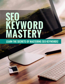# **SEO KEYWORD MASTERY**

**LEARN THE SECRETS OF MASTERING SEO KEYWORDS!**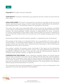

**Copyright ©** All rights reserved worldwide.

**YOUR RIGHTS:** This book is restricted to your personal use only. It does not come with any other rights.

**LEGAL DISCLAIMER:** This book is protected by international copyright law & may not be copied, reproduced, given away, or used to create derivative works without the publisher's expressed permission. The publisher retains full copyrights to this book.

The author has made every reasonable effort to be as accurate & complete as possible in the creation of this book & to ensure that the information provided is free from errors; however, the author/publisher/ reseller assumes no responsibility for errors, omissions, or contrary interpretation of the subject matter herein & does not warrant or represent at any time that the contents within are accurate due to the rapidly changing nature of the Internet.

Any perceived slights of specific persons, peoples, or organizations are unintentional.

The purpose of this book is to educate & there are no guarantees of income, sales or results implied. The publisher/author/reseller can therefore not be held accountable for any poor results you may attain when implementing the techniques or when following any guidelines set out for you in this book.

Any product, website, & company names mentioned in this report are the trademarks or copyright properties of their respective owners. The author/publisher/reseller are not associated or affiliated with them in any way. Nor does the referred product, website, & company names sponsor, endorse, or approve this product.

**COMPENSATION DISCLOSURE:** Unless otherwise expressly stated, you should assume that the links contained in this book may be affiliate links & either the author/publisher/ reseller will earn commission if you click on them & buy the product/service mentioned in this book. However, the author/publisher/reseller disclaim any liability that may result from your involvement with any such websites/products. You should perform due diligence before buying mentioned products or services.

This constitutes the entire license agreement. Any disputes or terms not discussed in this agreement are at the sole discretion of the publisher.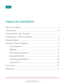## **TABLE OF CONTENTS**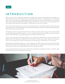## **INTRODUCTION**

SEO is a topic that is typically extremely misunderstood. Because things change so rapidly & so drastically in the arena, bad information & outdated information is circulated as truth more often than not, & even some so-called experts aren't actually sure what's true & what isn't. Google & other search engines deliberately keep their algorithms secret, not only from their competition, but from those who might abuse the system if they knew for sure how it worked.

This means what information we do have is largely based on anecdotal evidence & second-hand information from other people who have performed testing & tracking to create an educated guess about what may or may not work.

Thankfully, we do have some information that is relatively certain to be correct. This is mostly based on thorough testing by SEO experts, so it can never be assured to be 100% accurate, however most of this information is generally agreed in the SEO world to be true.

There is one thing that is definitely agreed on by nearly every SEO expert out there, & that is that keywords are still important. They don't work exactly the same way as they used to, but they are still a very important part of SEO, & that's what we are going to concentrate on in this guide.

Keywords will probably always be a vital component of SEO, because that's the primary thing search engines use to rank websites when people search for specific terms however, how those keywords are used has changed significantly over the past few years.

Let's get started, & you'll learn more about the importance of keywords, & how to find the right ones & make sure you're using them correctly.

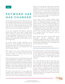## **K E Y W O R D U S E HAS CHANGED**

The first thing I want to stress is that keyword use has changed drastically over the past decade. At one point, all you had to do was stuff a page with a bunch of keyword phrases, & you could rank for a lot of those phrases. Sometimes you didn't even have to use relevant keywords.

If you just repeated 100 different keywords twenty times each, you'd have a pretty good shot at ranking in the top 10 for at least a few of those keywords, especially with a little bit of extra effort like using heading tags or even hidden text (making the text the same color as the background).

Of course, search engine algorithms have gotten a lot more complex & a lot smarter. If you attempt tactics like that these days, you'll probably just get your site banned from the search engines entirely.

SEO requires a lot more subtlety these days. You cannot use all those shady tactics & expect to make it to the top, even for less competitive keywords.

Search engines are much smarter than they used to be with regards to keywords. For example, it used to be that if you wanted to rank on the first page for the keyword phrase "underwater basket weaving" you had to have that exact keyword phrase on your page multiple times. Now, it's possible to rank on the first page without having that exact phrase on your page at all.

Of course, if you do have it on your page, you certainly have a better chance of ranking well. However, other factors can push you to the top even if you don't have the phrase on your page. There's also something called latent semantic indexing, or LSI. LSI is a complex process, but basically it involves the search engine's system taking a look at a wide range of documents, comparing them to see which words they have in common, & determining relevance based not only on the individual page it is analyzing, but others it believes are similar.

If you have "how to weave baskets under water", Google would see that as contextually similar to "underwater basket weaving". The search engine is a bit like artificial intelligence, because it can "learn" by analyzing billions of pages for similarities, & it can figure out context by realizing that many other pages that contain "underwater basket weaving" also contain the words "how to weave baskets under water", & it realized those two phrases must be contextually similar.

Even though the search engine itself knows absolutely nothing whatsoever about underwater basket weaving, it is able to figure out what those pages are about simply because of how often words appear on other pages with the same groups of words.

You can learn more about LSI here: http://www.seobook.com/lsi/lsa\_definition.htm

Remember to keep in mind that just because you can rank well for a phrase that doesn't appear on your page doesn't mean you will rank well for that phrase. Thus, it's always better to have those exact phrases on your page whenever possible.

The most important thing to take away from this is that you do still need to have keywords on your pages in order for Google (and other search engines) to figure out what your page is about, but you no longer have to worry quite as much about incorporating specific keyword phrases or anything like that. As long as you research your keywords & include a few main keyword phrases on your pages, the rest will fall into place naturally.

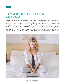## **K E Y W O R D S I N 2 0 1 8 & BEYOND**

The future of keywords is never certain, but one thing we're pretty sure about is that keyword research will probably always have some sort of significance because there's not much else search engines could use to index sites. Keywords are always going to be necessary in some way, they aren't just useful for search engine rankings. They're also extremely helpful for coming up with article titles & ideas. They're also useful for sites like Pinterest, as well as any paid ads you might create. So you see, keywords are still important for many different reasons, including SEO. So it's important to find a keyword tool that is a good fit for you & to use it to find keywords for your business. Let's take a look at the different types of keywords, & which ones you should focus on.

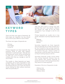

## **K E Y W O R D TYPES**

There are three main types of keywords. All three types are important, but you should focus more of your efforts on two of them.

The three main types of keywords are:

- Primary
- Secondary
- Long Tail

Primary keywords are those keywords that everyone thinks of when they research keywords on a particular topic. They get tons of searches per month, & have the potential to make you a lot of money in the very unlikely event that you manage to rank for one of them.

The trouble is, these keywords are hypercompetitive, & it's nearly impossible to rank for them. While it's important to know what those keywords are in your niche, the chances of you ranking for them without enormous effort are practically nil.

They also don't tend to convert very well, because they aren't very specific. However the volume can make up for the lower conversions if you manage to rank for one of them.

Primary keywords are usually one or two words. Examples of primary keywords would be:

- Makeup
- Cosmetics
- Beauty

Secondary keywords are those keywords that are generally two to three words & are a bit less competitive than primary keywords. These keywords are still fairly difficult to rank for, however they get a decent number of searches per month (at least a few thousand) so they're working trying to rank for.

Secondary keywords usually convert better than primary keywords, because they are more specific than primary keywords, & people are closer to the buying process when they search for these keywords.

Examples of this tier of keywords include:

- Makeup tips
- Buy cosmetics
- Beauty videos

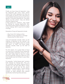Finally, we have long tail keywords. Long tail keywords get much lower search volume than other keywords, but they are much easier to rank for. Plus, they tend to convert better because they are much more specific. If someone searches for "buy Kylie Jenner Lip Kits online", they are almost certainly ready to buy!

If they search for "makeup", they might be looking for makeup application tips, information about types of makeup, or, yes, to buy makeup. But it could me a number of things.

Examples of long tail keywords include:

- Buy Cover Girl makeup online
- Where to buy cosmetics in Chicago
- Beauty tips for older women

Long tail keywords actually make up the majority of searches on the internet. You might think more people search for words like "porn" or "golf", but those longer searches actually make up the bulk of searches.

For this reason, it's a good idea to focus on long tail as a majority of your keywords, with secondary keywords coming in next. You don't really need to focus on those primary keywords, because odds are you'll cover pretty much all of them in your other keywords.

For example, "online beauty tips" contains both "beauty" & "beauty tips". Plus, you can remember that search engines look at context, & a site that talks about "online beauty tips" could also (to the search engines) be talking about "online beauty tutorials", "online makeup tips", or any number of other phrases even without specifically mentioning those phrases.



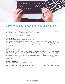

## **KEYWORD TOOLS COMPARED**

There are hundreds of keyword tools out there. Some are much more effective than others, & some are pretty close to useless. So which ones are actually useful?

Let's take a look at some of the most popular.

#### **Term Explorer**

### http://termexplorer.com/Public/testlander/index.html

Term Explorer is a bit more affordable than most keyword tools, starting at just \$34\* per month. They also have a free trial so you can test out the system with no risk. They have plenty of features that rival some of the more expensive tools, so if you're looking for an affordable option, this could be a good choice.

#### **SEMrush**

#### https://www.semrush.com/

SEMrush is definitely one of the most well-known keyword tools. Some of the world's biggest companies use them, including eBay, Booking.com, Disney, & Amazon. Considering their highprofile clientele, their pricing is actually quite reasonable, starting at just \$99\* per month, which is not that bad considering how many features they have. They go far beyond just keyword research & allow you to track the keywords you're using on your sites, your positions in the SERPs & their changes, & so much more.

#### **Moz Keyword Explorer**

#### https://moz.com/products/pro/keyword-explorer

The Moz Keyword Explorer is one of the most well-known keyword tools. It can provide a tremendous amount of data, including accurate estimates of search volume, SERP analysis, intuitive suggestions, & much more. Prices start at \$99\* per month, but they let you give the tool a try for free.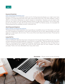#### **Keyword Snatcher**

#### http://www.keywordsnatcher.com/

Keyword Snatcher is an extremely useful tool for finding keyword phrases you might never have thought of. It finds keywords that most other tools would never find. The main problem is that it offers no information whatsoever on search volume or competition. However, you can export a file that you can import into the Google Keyword Planner to get that information. It's an extra step, but it's not that big of a deal. But at the current price of \$47\* for lifetime access, it's invaluable for finding keywords you probably wouldn't otherwise find.

#### **Ahref Keyword Explorer**

#### https://ahrefs.com/keywords-explorer

This keyword tool is fairly expensive, but it provides an incredible amount of information. It will tell you how competitive a keyword is, how hard it would be for you to rank, approximately how many clicks you could expect, & a lot more. This is one of the more robust tools out there. Prices start at \$99\* per month.

#### **Long Tail Pro**

#### https://longtailpro.com/

If you're looking for detailed information directly from the Google Keyword Planner, but you aren't actually advertising through AdWords, Long Tail Pro is a great tool. They provide all the important metrics, including potential keyword profitability, competition, difficulty, & more. & they have a 7-day trial that bills as low as \$37\* per month for their starter plan (or even cheaper if you pay annually). That's a lot more affordable than many other tools.



**Disclaimer** - \*Prices correct at time of writing.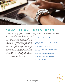

## **CONCLUSION RESOURCES**

Keywords are an important component of your SEO strategy, & although their use has certainly changed considerably, they are still the overall bread & butter of any SEO campaign. It's important to target the right keywords, as always, concentrating on the long tail & those mid-range keywords that you have a fair chance at ranking for. Using the right keyword tool is essential, as it will give you the information you need to make an informed decision with regards to competition & potential difficulty ranking for specific keywords, so be sure to test out a few to find the one that fits best with your marketing plan. Fortunately, many tools have free trials that let you experiment a bit with no risk. Now get out there & find some great keywords & start pulling in the rankings. Good luck!

Here are links to the resources found in this guide:

http://www.seobook.com/lsi/lsa\_definition. htm

http://termexplorer.com/Public/testlander/ index.html

https://www.semrush.com/

https://moz.com/products/pro/keywordexplorer

http://www.keywordsnatcher.com/

https://ahrefs.com/keywords-explorer

https://longtailpro.com/